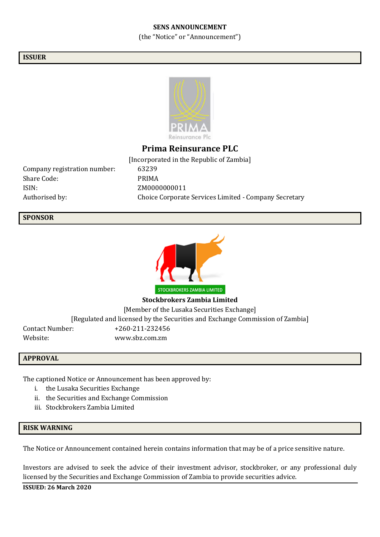### **SENS ANNOUNCEMENT**

(the "Notice" or "Announcement")

### **ISSUER**



# **Prima Reinsurance PLC**

Company registration number: 63239 Share Code: PRIMA ISIN: ZM0000000011

[Incorporated in the Republic of Zambia] Authorised by: Choice Corporate Services Limited - Company Secretary

#### **SPONSOR**



**Stockbrokers Zambia Limited**

[Member of the Lusaka Securities Exchange]

[Regulated and licensed by the Securities and Exchange Commission of Zambia]

Contact Number: +260-211-232456 Website: www.sbz.com.zm

#### **APPROVAL**

The captioned Notice or Announcement has been approved by:

- i. the Lusaka Securities Exchange
- ii. the Securities and Exchange Commission
- iii. Stockbrokers Zambia Limited

#### **RISK WARNING**

The Notice or Announcement contained herein contains information that may be of a price sensitive nature.

Investors are advised to seek the advice of their investment advisor, stockbroker, or any professional duly licensed by the Securities and Exchange Commission of Zambia to provide securities advice.

**ISSUED: 26 March 2020**